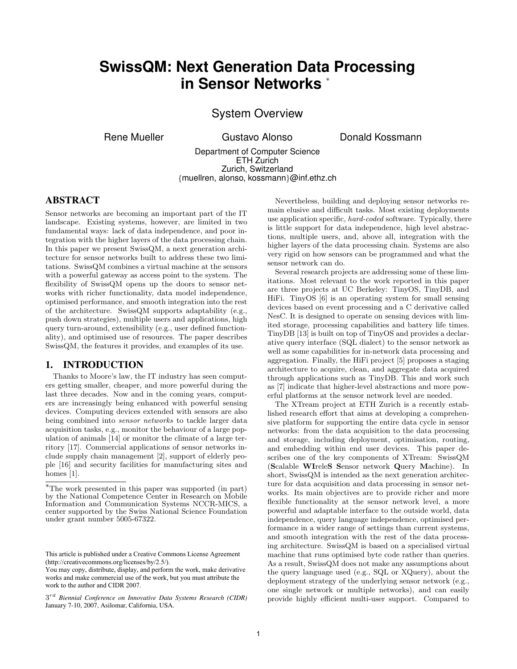# **SwissQM: Next Generation Data Processing in Sensor Networks** <sup>∗</sup>

# System Overview

Rene Mueller **Gustavo Alonso** Donald Kossmann

Department of Computer Science ETH Zurich Zurich, Switzerland {muellren, alonso, kossmann}@inf.ethz.ch

#### ABSTRACT

Sensor networks are becoming an important part of the IT landscape. Existing systems, however, are limited in two fundamental ways: lack of data independence, and poor integration with the higher layers of the data processing chain. In this paper we present SwissQM, a next generation architecture for sensor networks built to address these two limitations. SwissQM combines a virtual machine at the sensors with a powerful gateway as access point to the system. The flexibility of SwissQM opens up the doors to sensor networks with richer functionality, data model independence, optimised performance, and smooth integration into the rest of the architecture. SwissQM supports adaptability (e.g., push down strategies), multiple users and applications, high query turn-around, extensibility (e.g., user defined functionality), and optimised use of resources. The paper describes SwissQM, the features it provides, and examples of its use.

#### 1. INTRODUCTION

Thanks to Moore's law, the IT industry has seen computers getting smaller, cheaper, and more powerful during the last three decades. Now and in the coming years, computers are increasingly being enhanced with powerful sensing devices. Computing devices extended with sensors are also being combined into *sensor networks* to tackle larger data acquisition tasks, e.g., monitor the behaviour of a large population of animals [14] or monitor the climate of a large territory [17]. Commercial applications of sensor networks include supply chain management [2], support of elderly people [16] and security facilities for manufacturing sites and homes [1].

Nevertheless, building and deploying sensor networks remain elusive and difficult tasks. Most existing deployments use application specific, hard-coded software. Typically, there is little support for data independence, high level abstractions, multiple users, and, above all, integration with the higher layers of the data processing chain. Systems are also very rigid on how sensors can be programmed and what the sensor network can do.

Several research projects are addressing some of these limitations. Most relevant to the work reported in this paper are three projects at UC Berkeley: TinyOS, TinyDB, and HiFi. TinyOS [6] is an operating system for small sensing devices based on event processing and a C derivative called NesC. It is designed to operate on sensing devices with limited storage, processing capabilities and battery life times. TinyDB [13] is built on top of TinyOS and provides a declarative query interface (SQL dialect) to the sensor network as well as some capabilities for in-network data processing and aggregation. Finally, the HiFi project [5] proposes a staging architecture to acquire, clean, and aggregate data acquired through applications such as TinyDB. This and work such as [7] indicate that higher-level abstractions and more powerful platforms at the sensor network level are needed.

The XTream project at ETH Zurich is a recently established research effort that aims at developing a comprehensive platform for supporting the entire data cycle in sensor networks: from the data acquisition to the data processing and storage, including deployment, optimisation, routing, and embedding within end user devices. This paper describes one of the key components of XTream: SwissQM (Scalable WIreleS Sensor network Query Machine). In short, SwissQM is intended as the next generation architecture for data acquisition and data processing in sensor networks. Its main objectives are to provide richer and more flexible functionality at the sensor network level, a more powerful and adaptable interface to the outside world, data independence, query language independence, optimised performance in a wider range of settings than current systems, and smooth integration with the rest of the data processing architecture. SwissQM is based on a specialised virtual machine that runs optimised byte code rather than queries. As a result, SwissQM does not make any assumptions about the query language used (e.g., SQL or XQuery), about the deployment strategy of the underlying sensor network (e.g., one single network or multiple networks), and can easily provide highly efficient multi-user support. Compared to

<sup>∗</sup>The work presented in this paper was supported (in part) by the National Competence Center in Research on Mobile Information and Communication Systems NCCR-MICS, a center supported by the Swiss National Science Foundation under grant number 5005-67322.

This article is published under a Creative Commons License Agreement (http://creativecommons.org/licenses/by/2.5/).

works and make commercial use of the work, but you must attribute the work to the author and CIDR 2007. You may copy, distribute, display, and perform the work, make derivative works and make commercial use of the work, but you must attribute the

<sup>3</sup> rd *Biennial Conference on Innovative Data Systems Research (CIDR)* January 7-10, 2007, Asilomar, California, USA.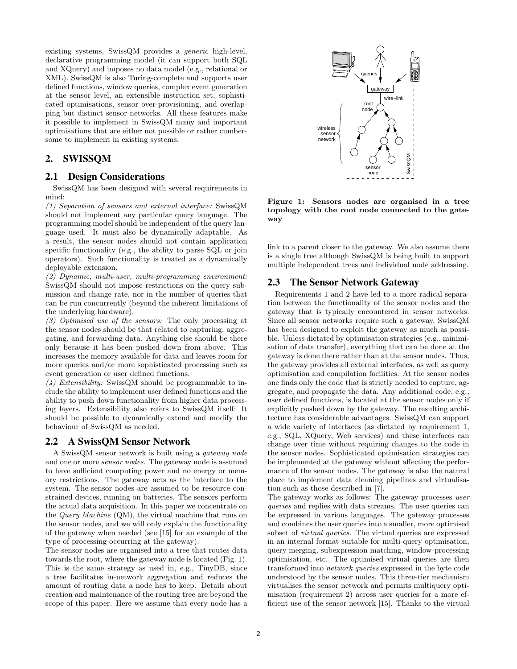existing systems, SwissQM provides a generic high-level, declarative programming model (it can support both SQL and XQuery) and imposes no data model (e.g., relational or XML). SwissQM is also Turing-complete and supports user defined functions, window queries, complex event generation at the sensor level, an extensible instruction set, sophisticated optimisations, sensor over-provisioning, and overlapping but distinct sensor networks. All these features make it possible to implement in SwissQM many and important optimisations that are either not possible or rather cumbersome to implement in existing systems.

## 2. SWISSQM

#### 2.1 Design Considerations

SwissQM has been designed with several requirements in mind:

(1) Separation of sensors and external interface: SwissQM should not implement any particular query language. The programming model should be independent of the query language used. It must also be dynamically adaptable. As a result, the sensor nodes should not contain application specific functionality (e.g., the ability to parse SQL or join operators). Such functionality is treated as a dynamically deployable extension.

(2) Dynamic, multi-user, multi-programming environment: SwissQM should not impose restrictions on the query submission and change rate, nor in the number of queries that can be run concurrently (beyond the inherent limitations of the underlying hardware).

(3) Optimised use of the sensors: The only processing at the sensor nodes should be that related to capturing, aggregating, and forwarding data. Anything else should be there only because it has been pushed down from above. This increases the memory available for data and leaves room for more queries and/or more sophisticated processing such as event generation or user defined functions.

 $(4)$  Extensibility: SwissQM should be programmable to include the ability to implement user defined functions and the ability to push down functionality from higher data processing layers. Extensibility also refers to SwissQM itself: It should be possible to dynamically extend and modify the behaviour of SwissQM as needed.

#### 2.2 A SwissQM Sensor Network

A SwissQM sensor network is built using a gateway node and one or more sensor nodes. The gateway node is assumed to have sufficient computing power and no energy or memory restrictions. The gateway acts as the interface to the system. The sensor nodes are assumed to be resource constrained devices, running on batteries. The sensors perform the actual data acquisition. In this paper we concentrate on the Query Machine (QM), the virtual machine that runs on the sensor nodes, and we will only explain the functionality of the gateway when needed (see [15] for an example of the type of processing occurring at the gateway).

The sensor nodes are organised into a tree that routes data towards the root, where the gateway node is located (Fig. 1). This is the same strategy as used in, e.g., TinyDB, since a tree facilitates in-network aggregation and reduces the amount of routing data a node has to keep. Details about creation and maintenance of the routing tree are beyond the scope of this paper. Here we assume that every node has a



Figure 1: Sensors nodes are organised in a tree topology with the root node connected to the gateway

link to a parent closer to the gateway. We also assume there is a single tree although SwissQM is being built to support multiple independent trees and individual node addressing.

#### 2.3 The Sensor Network Gateway

Requirements 1 and 2 have led to a more radical separation between the functionality of the sensor nodes and the gateway that is typically encountered in sensor networks. Since all sensor networks require such a gateway, SwissQM has been designed to exploit the gateway as much as possible. Unless dictated by optimisation strategies (e.g., minimisation of data transfer), everything that can be done at the gateway is done there rather than at the sensor nodes. Thus, the gateway provides all external interfaces, as well as query optimisation and compilation facilities. At the sensor nodes one finds only the code that is strictly needed to capture, aggregate, and propagate the data. Any additional code, e.g., user defined functions, is located at the sensor nodes only if explicitly pushed down by the gateway. The resulting architecture has considerable advantages. SwissQM can support a wide variety of interfaces (as dictated by requirement 1, e.g., SQL, XQuery, Web services) and these interfaces can change over time without requiring changes to the code in the sensor nodes. Sophisticated optimisation strategies can be implemented at the gateway without affecting the performance of the sensor nodes. The gateway is also the natural place to implement data cleaning pipelines and virtualisation such as those described in [7].

The gateway works as follows: The gateway processes user queries and replies with data streams. The user queries can be expressed in various languages. The gateway processes and combines the user queries into a smaller, more optimised subset of virtual queries. The virtual queries are expressed in an internal format suitable for multi-query optimisation, query merging, subexpression matching, window-processing optimisation, etc. The optimised virtual queries are then transformed into network queries expressed in the byte code understood by the sensor nodes. This three-tier mechanism virtualises the sensor network and permits multiquery optimisation (requirement 2) across user queries for a more efficient use of the sensor network [15]. Thanks to the virtual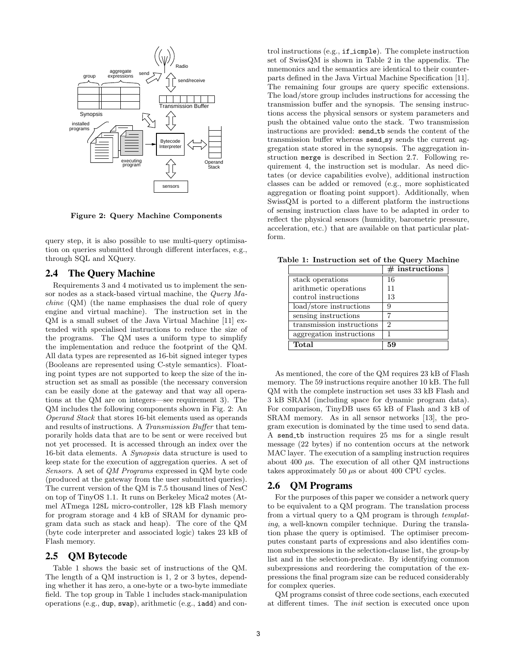

Figure 2: Query Machine Components

query step, it is also possible to use multi-query optimisation on queries submitted through different interfaces, e.g., through SQL and XQuery.

#### 2.4 The Query Machine

Requirements 3 and 4 motivated us to implement the sensor nodes as a stack-based virtual machine, the Query Machine (QM) (the name emphasises the dual role of query engine and virtual machine). The instruction set in the QM is a small subset of the Java Virtual Machine [11] extended with specialised instructions to reduce the size of the programs. The QM uses a uniform type to simplify the implementation and reduce the footprint of the QM. All data types are represented as 16-bit signed integer types (Booleans are represented using C-style semantics). Floating point types are not supported to keep the size of the instruction set as small as possible (the necessary conversion can be easily done at the gateway and that way all operations at the QM are on integers—see requirement 3). The QM includes the following components shown in Fig. 2: An Operand Stack that stores 16-bit elements used as operands and results of instructions. A Transmission Buffer that temporarily holds data that are to be sent or were received but not yet processed. It is accessed through an index over the 16-bit data elements. A Synopsis data structure is used to keep state for the execution of aggregation queries. A set of Sensors. A set of QM Programs expressed in QM byte code (produced at the gateway from the user submitted queries). The current version of the QM is 7.5 thousand lines of NesC on top of TinyOS 1.1. It runs on Berkeley Mica2 motes (Atmel ATmega 128L micro-controller, 128 kB Flash memory for program storage and 4 kB of SRAM for dynamic program data such as stack and heap). The core of the QM (byte code interpreter and associated logic) takes 23 kB of Flash memory.

#### 2.5 QM Bytecode

Table 1 shows the basic set of instructions of the QM. The length of a QM instruction is 1, 2 or 3 bytes, depending whether it has zero, a one-byte or a two-byte immediate field. The top group in Table 1 includes stack-manipulation operations (e.g., dup, swap), arithmetic (e.g., iadd) and control instructions (e.g., if icmple). The complete instruction set of SwissQM is shown in Table 2 in the appendix. The mnemonics and the semantics are identical to their counterparts defined in the Java Virtual Machine Specification [11]. The remaining four groups are query specific extensions. The load/store group includes instructions for accessing the transmission buffer and the synopsis. The sensing instructions access the physical sensors or system parameters and push the obtained value onto the stack. Two transmission instructions are provided: send\_tb sends the content of the transmission buffer whereas send sy sends the current aggregation state stored in the synopsis. The aggregation instruction merge is described in Section 2.7. Following requirement 4, the instruction set is modular. As need dictates (or device capabilities evolve), additional instruction classes can be added or removed (e.g., more sophisticated aggregation or floating point support). Additionally, when SwissQM is ported to a different platform the instructions of sensing instruction class have to be adapted in order to reflect the physical sensors (humidity, barometric pressure, acceleration, etc.) that are available on that particular platform.

Table 1: Instruction set of the Query Machine  $#$  instructions

|                           | $#$ instructions |
|---------------------------|------------------|
| stack operations          | 16               |
| arithmetic operations     | 11               |
| control instructions      | 13               |
| load/store instructions   |                  |
| sensing instructions      |                  |
| transmission instructions | 2                |
| aggregation instructions  |                  |
| Total                     | 59               |

As mentioned, the core of the QM requires 23 kB of Flash memory. The 59 instructions require another 10 kB. The full QM with the complete instruction set uses 33 kB Flash and 3 kB SRAM (including space for dynamic program data). For comparison, TinyDB uses 65 kB of Flash and 3 kB of SRAM memory. As in all sensor networks [13], the program execution is dominated by the time used to send data. A send tb instruction requires 25 ms for a single result message (22 bytes) if no contention occurs at the network MAC layer. The execution of a sampling instruction requires about 400 µs. The execution of all other QM instructions takes approximately 50  $\mu$ s or about 400 CPU cycles.

#### 2.6 QM Programs

For the purposes of this paper we consider a network query to be equivalent to a QM program. The translation process from a virtual query to a QM program is through templating, a well-known compiler technique. During the translation phase the query is optimised. The optimiser precomputes constant parts of expressions and also identifies common subexpressions in the selection-clause list, the group-by list and in the selection-predicate. By identifying common subexpressions and reordering the computation of the expressions the final program size can be reduced considerably for complex queries.

QM programs consist of three code sections, each executed at different times. The init section is executed once upon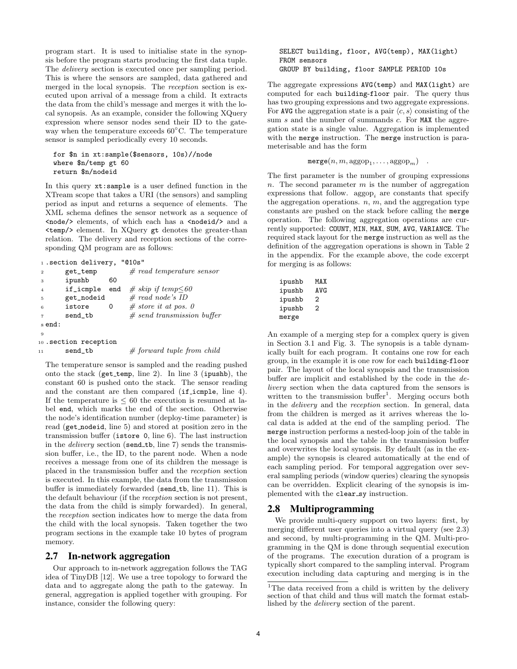program start. It is used to initialise state in the synopsis before the program starts producing the first data tuple. The delivery section is executed once per sampling period. This is where the sensors are sampled, data gathered and merged in the local synopsis. The reception section is executed upon arrival of a message from a child. It extracts the data from the child's message and merges it with the local synopsis. As an example, consider the following XQuery expression where sensor nodes send their ID to the gateway when the temperature exceeds 60◦C. The temperature sensor is sampled periodically every 10 seconds.

```
for $n in xt:sample($sensors, 10s)//node
where $n/temp gt 60
return $n/nodeid
```
In this query xt:sample is a user defined function in the XTream scope that takes a URI (the sensors) and sampling period as input and returns a sequence of elements. The XML schema defines the sensor network as a sequence of  $\langle \text{node/>} \rangle$  elements, of which each has a  $\langle \text{nodeid/>} \rangle$  and a <temp/> element. In XQuery gt denotes the greater-than relation. The delivery and reception sections of the corresponding QM program are as follows:

|                | 1. section delivery, "010s" |     |                              |
|----------------|-----------------------------|-----|------------------------------|
| $\overline{2}$ | get_temp                    |     | # read temperature sensor    |
| 3              | ipushb                      | 60  |                              |
| $\overline{4}$ | if_icmple                   | end | $#$ skip if temp $\leq 60$   |
| 5              | get_nodeid                  |     | # read node's ID             |
| 6              | istore                      | 0   | # store it at pos. 0         |
| $\overline{7}$ | send_tb                     |     | $# send$ transmission buffer |
| send:          |                             |     |                              |
| 9              |                             |     |                              |
|                | $10$ . Section reception    |     |                              |
| 11             | send_tb                     |     | $#$ forward tuple from child |

The temperature sensor is sampled and the reading pushed onto the stack ( $get$ -temp, line 2). In line 3 (ipushb), the constant 60 is pushed onto the stack. The sensor reading and the constant are then compared (if icmple, line 4). If the temperature is  $\leq 60$  the execution is resumed at label end, which marks the end of the section. Otherwise the node's identification number (deploy-time parameter) is read (get nodeid, line 5) and stored at position zero in the transmission buffer (istore 0, line 6). The last instruction in the *delivery* section (send\_tb, line  $7$ ) sends the transmission buffer, i.e., the ID, to the parent node. When a node receives a message from one of its children the message is placed in the transmission buffer and the reception section is executed. In this example, the data from the transmission buffer is immediately forwarded (send\_tb, line 11). This is the default behaviour (if the reception section is not present, the data from the child is simply forwarded). In general, the reception section indicates how to merge the data from the child with the local synopsis. Taken together the two program sections in the example take 10 bytes of program memory.

#### 2.7 In-network aggregation

Our approach to in-network aggregation follows the TAG idea of TinyDB [12]. We use a tree topology to forward the data and to aggregate along the path to the gateway. In general, aggregation is applied together with grouping. For instance, consider the following query:

SELECT building, floor, AVG(temp), MAX(light) FROM sensors GROUP BY building, floor SAMPLE PERIOD 10s

The aggregate expressions AVG(temp) and MAX(light) are computed for each building-floor pair. The query thus has two grouping expressions and two aggregate expressions. For AVG the aggregation state is a pair  $\langle c, s \rangle$  consisting of the sum  $s$  and the number of summands  $c$ . For MAX the aggregation state is a single value. Aggregation is implemented with the merge instruction. The merge instruction is parameterisable and has the form

$$
\texttt{merge}(n, m, \text{aggop}_1, \ldots, \text{aggop}_m) \quad .
$$

The first parameter is the number of grouping expressions n. The second parameter  $m$  is the number of aggregation expressions that follow. aggop<sub>i</sub> are constants that specify the aggregation operations.  $n, m$ , and the aggregation type constants are pushed on the stack before calling the merge operation. The following aggregation operations are currently supported: COUNT, MIN, MAX, SUM, AVG, VARIANCE. The required stack layout for the merge instruction as well as the definition of the aggregation operations is shown in Table 2 in the appendix. For the example above, the code excerpt for merging is as follows:

| ipushb | MAX |
|--------|-----|
| ipushb | AVG |
| ipushb | 2   |
| ipushb | 2   |
| merge  |     |

An example of a merging step for a complex query is given in Section 3.1 and Fig. 3. The synopsis is a table dynamically built for each program. It contains one row for each group, in the example it is one row for each building-floor pair. The layout of the local synopsis and the transmission buffer are implicit and established by the code in the delivery section when the data captured from the sensors is written to the transmission buffer<sup>1</sup>. Merging occurs both in the delivery and the reception section. In general, data from the children is merged as it arrives whereas the local data is added at the end of the sampling period. The merge instruction performs a nested-loop join of the table in the local synopsis and the table in the transmission buffer and overwrites the local synopsis. By default (as in the example) the synopsis is cleared automatically at the end of each sampling period. For temporal aggregation over several sampling periods (window queries) clearing the synopsis can be overridden. Explicit clearing of the synopsis is implemented with the clear\_sy instruction.

#### 2.8 Multiprogramming

We provide multi-query support on two layers: first, by merging different user queries into a virtual query (see 2.3) and second, by multi-programming in the QM. Multi-programming in the QM is done through sequential execution of the programs. The execution duration of a program is typically short compared to the sampling interval. Program execution including data capturing and merging is in the

<sup>&</sup>lt;sup>1</sup>The data received from a child is written by the delivery section of that child and thus will match the format established by the delivery section of the parent.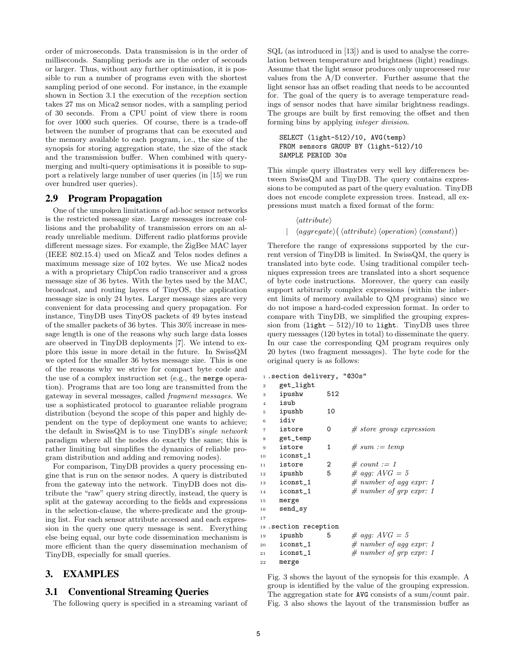order of microseconds. Data transmission is in the order of milliseconds. Sampling periods are in the order of seconds or larger. Thus, without any further optimisation, it is possible to run a number of programs even with the shortest sampling period of one second. For instance, in the example shown in Section 3.1 the execution of the reception section takes 27 ms on Mica2 sensor nodes, with a sampling period of 30 seconds. From a CPU point of view there is room for over 1000 such queries. Of course, there is a trade-off between the number of programs that can be executed and the memory available to each program, i.e., the size of the synopsis for storing aggregation state, the size of the stack and the transmission buffer. When combined with querymerging and multi-query optimisations it is possible to support a relatively large number of user queries (in [15] we run over hundred user queries).

#### 2.9 Program Propagation

One of the unspoken limitations of ad-hoc sensor networks is the restricted message size. Large messages increase collisions and the probability of transmission errors on an already unreliable medium. Different radio platforms provide different message sizes. For example, the ZigBee MAC layer (IEEE 802.15.4) used on MicaZ and Telos nodes defines a maximum message size of 102 bytes. We use Mica2 nodes a with a proprietary ChipCon radio transceiver and a gross message size of 36 bytes. With the bytes used by the MAC, broadcast, and routing layers of TinyOS, the application message size is only 24 bytes. Larger message sizes are very convenient for data processing and query propagation. For instance, TinyDB uses TinyOS packets of 49 bytes instead of the smaller packets of 36 bytes. This 30% increase in message length is one of the reasons why such large data losses are observed in TinyDB deployments [7]. We intend to explore this issue in more detail in the future. In SwissQM we opted for the smaller 36 bytes message size. This is one of the reasons why we strive for compact byte code and the use of a complex instruction set (e.g., the merge operation). Programs that are too long are transmitted from the gateway in several messages, called fragment messages. We use a sophisticated protocol to guarantee reliable program distribution (beyond the scope of this paper and highly dependent on the type of deployment one wants to achieve; the default in SwissQM is to use TinyDB's single network paradigm where all the nodes do exactly the same; this is rather limiting but simplifies the dynamics of reliable program distribution and adding and removing nodes).

For comparison, TinyDB provides a query processing engine that is run on the sensor nodes. A query is distributed from the gateway into the network. TinyDB does not distribute the "raw" query string directly, instead, the query is split at the gateway according to the fields and expressions in the selection-clause, the where-predicate and the grouping list. For each sensor attribute accessed and each expression in the query one query message is sent. Everything else being equal, our byte code dissemination mechanism is more efficient than the query dissemination mechanism of TinyDB, especially for small queries.

# 3. EXAMPLES

#### 3.1 Conventional Streaming Queries

The following query is specified in a streaming variant of

SQL (as introduced in [13]) and is used to analyse the correlation between temperature and brightness (light) readings. Assume that the light sensor produces only unprocessed raw values from the A/D converter. Further assume that the light sensor has an offset reading that needs to be accounted for. The goal of the query is to average temperature readings of sensor nodes that have similar brightness readings. The groups are built by first removing the offset and then forming bins by applying integer division.

#### SELECT (light-512)/10, AVG(temp) FROM sensors GROUP BY (light-512)/10 SAMPLE PERIOD 30s

This simple query illustrates very well key differences between SwissQM and TinyDB. The query contains expressions to be computed as part of the query evaluation. TinyDB does not encode complete expression trees. Instead, all expressions must match a fixed format of the form:

```
\langle attribute \rangle
```
 $\vert \langle \text{aggregate} \rangle (\langle \text{attribute} \rangle \langle \text{operation} \rangle \langle \text{constant} \rangle)$ 

Therefore the range of expressions supported by the current version of TinyDB is limited. In SwissQM, the query is translated into byte code. Using traditional compiler techniques expression trees are translated into a short sequence of byte code instructions. Moreover, the query can easily support arbitrarily complex expressions (within the inherent limits of memory available to QM programs) since we do not impose a hard-coded expression format. In order to compare with TinyDB, we simplified the grouping expression from  $(\text{light} - 512)/10$  to light. TinyDB uses three query messages (120 bytes in total) to disseminate the query. In our case the corresponding QM program requires only 20 bytes (two fragment messages). The byte code for the original query is as follows:

|  |  | 1. section delivery, | "@30s" |
|--|--|----------------------|--------|
|--|--|----------------------|--------|

| $\overline{2}$ | get_light             |     |                            |
|----------------|-----------------------|-----|----------------------------|
| 3              | ipushw                | 512 |                            |
| $\overline{4}$ | isub                  |     |                            |
| 5              | ipushb                | 10  |                            |
| 6              | idiv                  |     |                            |
| $\overline{7}$ | istore                | 0   | # store group expression   |
| 8              | get_temp              |     |                            |
| 9              | istore                | 1   | $# sum := temp$            |
| 10             | iconst_1              |     |                            |
| 11             | istore                | 2   | $\#$ count := 1            |
| 12             | ipushb                | 5   | $\#$ agg: $AVG = 5$        |
| 13             | iconst_1              |     | $\#$ number of agg expr: 1 |
| 14             | iconst_1              |     | $\#$ number of grp expr: 1 |
| 15             | merge                 |     |                            |
| 16             | send_sy               |     |                            |
| 17             |                       |     |                            |
|                | 18. Section reception |     |                            |
| 19             | ipushb                | 5   | $\#$ agg: $AVG = 5$        |
| 20             | iconst_1              |     | # number of agg expr: 1    |
| 21             | iconst_1              |     | $\#$ number of grp expr: 1 |
| 22             | merge                 |     |                            |
|                |                       |     |                            |

Fig. 3 shows the layout of the synopsis for this example. A group is identified by the value of the grouping expression. The aggregation state for AVG consists of a sum/count pair. Fig. 3 also shows the layout of the transmission buffer as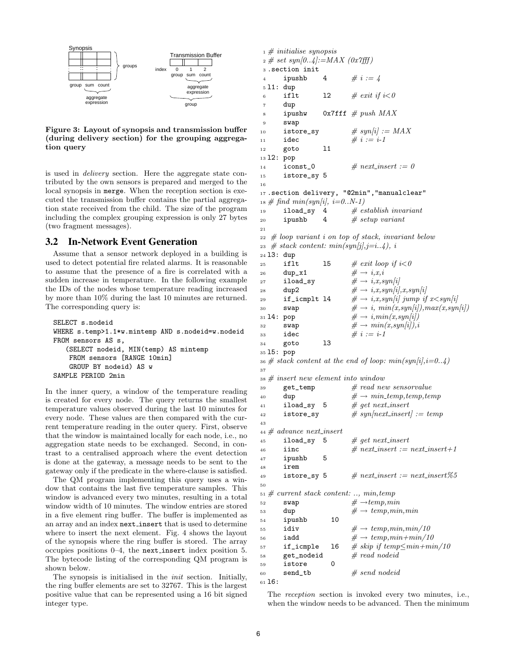

Figure 3: Layout of synopsis and transmission buffer (during delivery section) for the grouping aggregation query

is used in delivery section. Here the aggregate state contributed by the own sensors is prepared and merged to the local synopsis in merge. When the reception section is executed the transmission buffer contains the partial aggregation state received from the child. The size of the program including the complex grouping expression is only 27 bytes (two fragment messages).

#### 3.2 In-Network Event Generation

Assume that a sensor network deployed in a building is used to detect potential fire related alarms. It is reasonable to assume that the presence of a fire is correlated with a sudden increase in temperature. In the following example the IDs of the nodes whose temperature reading increased by more than 10% during the last 10 minutes are returned. The corresponding query is:

```
SELECT s.nodeid
WHERE s.temp>1.1*w.mintemp AND s.nodeid=w.nodeid
FROM sensors AS s,
   (SELECT nodeid, MIN(temp) AS mintemp
    FROM sensors [RANGE 10min]
    GROUP BY nodeid) AS w
SAMPLE PERIOD 2min
```
In the inner query, a window of the temperature reading is created for every node. The query returns the smallest temperature values observed during the last 10 minutes for every node. These values are then compared with the current temperature reading in the outer query. First, observe that the window is maintained locally for each node, i.e., no aggregation state needs to be exchanged. Second, in contrast to a centralised approach where the event detection is done at the gateway, a message needs to be sent to the gateway only if the predicate in the where-clause is satisfied.

The QM program implementing this query uses a window that contains the last five temperature samples. This window is advanced every two minutes, resulting in a total window width of 10 minutes. The window entries are stored in a five element ring buffer. The buffer is implemented as an array and an index next insert that is used to determine where to insert the next element. Fig. 4 shows the layout of the synopsis where the ring buffer is stored. The array occupies positions 0–4, the next insert index position 5. The bytecode listing of the corresponding QM program is shown below.

The synopsis is initialised in the *init* section. Initially, the ring buffer elements are set to 32767. This is the largest positive value that can be represented using a 16 bit signed integer type.

```
_1 \# initialise synopsis
\alpha_2 \neq set \; syn[0..4]:=MAX \; (0x7fff)3 .section init
4 ipushb 4 \# i := 45 l1: dup
6 if 11 if 12 \neq exit \text{ if } i < 07 dup
8 ipushw 0x7fff \text{# push } MAX9 swap
10 istore_sy \# \text{ syn}[i] := MAX11 idec \# i := i-112 goto l1
13 l2: pop
14 iconst_0 \# next_insert := 0
15 istore_sy 5
16
17 . section delivery, "@2min", "manualclear"
\begin{array}{lll} \text{18} \ \# \ \text{find} \ min(\text{syn}[i],\ i=0..N-1) \\ \text{19} \quad \text{1load\_sy} \quad 4 \quad \# \ \text{es} \end{array}19 iload_sy 4 # establish invariant<br>20 ipushb 4 # setup variant
20 ipushb 4 # \# setup variant
21
_{22} # loop variant i on top of stack, invariant below
23 # stack content: min(syn[j], j=i..4), i
24 l3: dup
25 if 1t 15 # exit loop if i < 026 dup_x1 \#\to i,x,i27 iload_sy \#\to i,x,syn[i]28 dup2 \#\to i, x, syn[i], x, syn[i]29 if_icmplt 14 \#\rightarrow i,x,syn[i] jump if x\lt sym[i]30 swap \#\to i, min(x,syn[i]),max(x,syn[i])31 14: pop \#\to i, min(x, syn[i])32 swap \#\to min(x,syn[i]),i33 idec \# i := i-134 goto l3
35 l5: pop
36 # stack content at the end of loop: min(syn[i], i=0..4)37
38 # insert new element into window
39 get_temp \# \text{ read new sensorvalue}40 dup \#\to min\_\text{temp, temp, temp}41 iload_sy 5 \# get next_insert
42 istore_sy \# syn/next_inset| := temp43
44 \# advance next.insert45 iload_sy 5 \# get next_insert
46 iinc \# next_insert := next_insert+1
47 ipushb 5
48 irem
49 istore_sy 5 \# next_insert := next_insert%5
50
51 \# current stack content: .., min, temp
52 swap \#\rightarrow temp,min53 dup \# \to temp, min, min<br>54 ipushb 10
<sup>54</sup> ipushb<br><sup>55</sup> idiv
55 idiv \# \to temp,min,min/1056 iadd \#\to temp,min+min/1057 if_icmple 16 # skip if temp \leq min + min/1058 get_nodeid # read nodeid59 istore 0
60 \qquad \qquad \text{send\_tb} \qquad \qquad \# \; send \; nodel61 l6:
```
The reception section is invoked every two minutes, i.e., when the window needs to be advanced. Then the minimum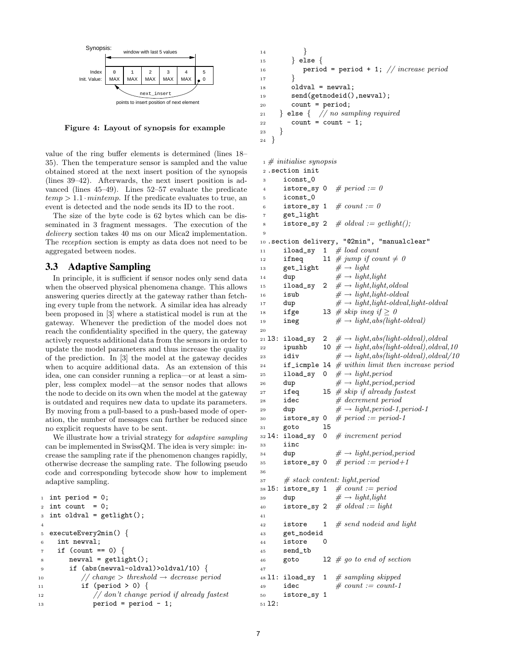

Figure 4: Layout of synopsis for example

value of the ring buffer elements is determined (lines 18– 35). Then the temperature sensor is sampled and the value obtained stored at the next insert position of the synopsis (lines 39–42). Afterwards, the next insert position is advanced (lines 45–49). Lines 52–57 evaluate the predicate  $temp > 1.1 \cdot minutemp$ . If the predicate evaluates to true, an event is detected and the node sends its ID to the root.

The size of the byte code is 62 bytes which can be disseminated in 3 fragment messages. The execution of the delivery section takes 40 ms on our Mica2 implementation. The reception section is empty as data does not need to be aggregated between nodes.

#### 3.3 Adaptive Sampling

In principle, it is sufficient if sensor nodes only send data when the observed physical phenomena change. This allows answering queries directly at the gateway rather than fetching every tuple from the network. A similar idea has already been proposed in [3] where a statistical model is run at the gateway. Whenever the prediction of the model does not reach the confidentiality specified in the query, the gateway actively requests additional data from the sensors in order to update the model parameters and thus increase the quality of the prediction. In [3] the model at the gateway decides when to acquire additional data. As an extension of this idea, one can consider running a replica—or at least a simpler, less complex model—at the sensor nodes that allows the node to decide on its own when the model at the gateway is outdated and requires new data to update its parameters. By moving from a pull-based to a push-based mode of operation, the number of messages can further be reduced since no explicit requests have to be sent.

We illustrate how a trivial strategy for *adaptive sampling* can be implemented in SwissQM. The idea is very simple: increase the sampling rate if the phenomenon changes rapidly, otherwise decrease the sampling rate. The following pseudo code and corresponding bytecode show how to implement adaptive sampling.

```
_1 int period = 0;
2 int count = 0;
3 int oldval = getlight();
4
5 executeEvery2min() {
6 int newval;
7 \text{ if } (count == 0)\sum 8 newval = getlight();
9 if (abs(newval-oldval)>oldval/10) {
10 // change > threshold \rightarrow decrease period
11 if (period > 0) {
12 // don't change period if already fastest
13 period = period - 1;
```

```
14 }
15 } else {
16 period = period + 1; // increase period
17 }
18 oldval = newval;
19 send(getnodeid(),newval);
20 count = period;
21 } else { // no sampling required22 count = count - 1;
23 }
24 }
```
 $_1 \#$  initialise synopsis

```
2 .section init
3 iconst_0
4 istore_sy 0 \# period := 0
5 iconst_0
6 istore_sy 1 \# count := 0
7 get_light
8 istore_sy 2 \# oldval := getlight();
9
10 .section delivery, "@2min", "manualclear"
11 iload_sy 1 \# load count
12 ifneq 11 # jump if count \neq 013 get_light \#\to light14 dup \#\to light, light15 iload_sy 2 \# \rightarrow light, light, oldval16 isub \#\rightarrow light, light-oldval17 dup \#\to light, light-oldval, light-oldval18 ifge 13 # skip ineg if \geq 019 ineg \#\to light,abs-light-oldval)20
21 13: iload_sy 2 \# \rightarrow light, abs(light-oldval), oldval22 ipushb 10 \# \rightarrow light, abs(light-oldval), oldval, 1023 idiv \#\to light,abs-light-oldval),oldval/1024 if icmple 14 \# within limit then increase period
25 iload_sy 0 \# \rightarrow light, period26 dup \#\rightarrow light, period, period27 if eq 15 # skip if already fastest
28 idec \# decrement period
29 dup \#\rightarrow light, period-1, period-130 istore_sy 0 \# period := period-1<br>31 goto 15
31 goto 1!<br>32 14: iload_sy 0
32 14: iload_sy 0 # increment period
33 iinc
34 dup \#\rightarrow light, period, period35 istore_sy 0 # period := period + 136
\begin{array}{lll} \n 37 \quad \# \; stack \; content: \; light, period \n \end{array}38 15: istore_sy 1 \# count := period
39 dup \#\to light, light40 istore_sy 2 \# oldval := light
41
42 istore 1 \# send nodeid and light
43 get_nodeid
44 istore
45 send_tb
46 goto 12 \# go to end of section
47
48 11: iload_sy 1 # sampling skipped
49 idec \#\ count := count-150 istore_sy 1
51 l2:
```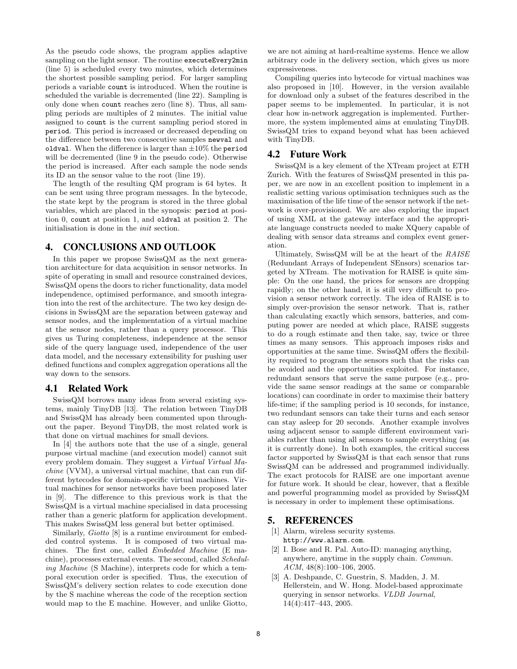As the pseudo code shows, the program applies adaptive sampling on the light sensor. The routine executeEvery2min (line 5) is scheduled every two minutes, which determines the shortest possible sampling period. For larger sampling periods a variable count is introduced. When the routine is scheduled the variable is decremented (line 22). Sampling is only done when count reaches zero (line 8). Thus, all sampling periods are multiples of 2 minutes. The initial value assigned to count is the current sampling period stored in period. This period is increased or decreased depending on the difference between two consecutive samples newval and oldval. When the difference is larger than  $\pm 10\%$  the period will be decremented (line 9 in the pseudo code). Otherwise the period is increased. After each sample the node sends its ID an the sensor value to the root (line 19).

The length of the resulting QM program is 64 bytes. It can be sent using three program messages. In the bytecode, the state kept by the program is stored in the three global variables, which are placed in the synopsis: period at position 0, count at position 1, and oldval at position 2. The initialisation is done in the init section.

#### 4. CONCLUSIONS AND OUTLOOK

In this paper we propose SwissQM as the next generation architecture for data acquisition in sensor networks. In spite of operating in small and resource constrained devices, SwissQM opens the doors to richer functionality, data model independence, optimised performance, and smooth integration into the rest of the architecture. The two key design decisions in SwissQM are the separation between gateway and sensor nodes, and the implementation of a virtual machine at the sensor nodes, rather than a query processor. This gives us Turing completeness, independence at the sensor side of the query language used, independence of the user data model, and the necessary extensibility for pushing user defined functions and complex aggregation operations all the way down to the sensors.

#### 4.1 Related Work

SwissQM borrows many ideas from several existing systems, mainly TinyDB [13]. The relation between TinyDB and SwissQM has already been commented upon throughout the paper. Beyond TinyDB, the most related work is that done on virtual machines for small devices.

In [4] the authors note that the use of a single, general purpose virtual machine (and execution model) cannot suit every problem domain. They suggest a Virtual Virtual Machine (VVM), a universal virtual machine, that can run different bytecodes for domain-specific virtual machines. Virtual machines for sensor networks have been proposed later in [9]. The difference to this previous work is that the SwissQM is a virtual machine specialised in data processing rather than a generic platform for application development. This makes SwissQM less general but better optimised.

Similarly, Giotto [8] is a runtime environment for embedded control systems. It is composed of two virtual machines. The first one, called Embedded Machine (E machine), processes external events. The second, called Scheduling Machine (S Machine), interprets code for which a temporal execution order is specified. Thus, the execution of SwissQM's delivery section relates to code execution done by the S machine whereas the code of the reception section would map to the E machine. However, and unlike Giotto,

we are not aiming at hard-realtime systems. Hence we allow arbitrary code in the delivery section, which gives us more expressiveness.

Compiling queries into bytecode for virtual machines was also proposed in [10]. However, in the version available for download only a subset of the features described in the paper seems to be implemented. In particular, it is not clear how in-network aggregation is implemented. Furthermore, the system implemented aims at emulating TinyDB. SwissQM tries to expand beyond what has been achieved with TinyDB.

#### 4.2 Future Work

SwissQM is a key element of the XTream project at ETH Zurich. With the features of SwissQM presented in this paper, we are now in an excellent position to implement in a realistic setting various optimisation techniques such as the maximisation of the life time of the sensor network if the network is over-provisioned. We are also exploring the impact of using XML at the gateway interface and the appropriate language constructs needed to make XQuery capable of dealing with sensor data streams and complex event generation.

Ultimately, SwissQM will be at the heart of the RAISE (Redundant Arrays of Independent SEnsors) scenarios targeted by XTream. The motivation for RAISE is quite simple: On the one hand, the prices for sensors are dropping rapidly; on the other hand, it is still very difficult to provision a sensor network correctly. The idea of RAISE is to simply over-provision the sensor network. That is, rather than calculating exactly which sensors, batteries, and computing power are needed at which place, RAISE suggests to do a rough estimate and then take, say, twice or three times as many sensors. This approach imposes risks and opportunities at the same time. SwissQM offers the flexibility required to program the sensors such that the risks can be avoided and the opportunities exploited. For instance, redundant sensors that serve the same purpose (e.g., provide the same sensor readings at the same or comparable locations) can coordinate in order to maximise their battery life-time; if the sampling period is 10 seconds, for instance, two redundant sensors can take their turns and each sensor can stay asleep for 20 seconds. Another example involves using adjacent sensor to sample different environment variables rather than using all sensors to sample everything (as it is currently done). In both examples, the critical success factor supported by SwissQM is that each sensor that runs SwissQM can be addressed and programmed individually. The exact protocols for RAISE are one important avenue for future work. It should be clear, however, that a flexible and powerful programming model as provided by SwissQM is necessary in order to implement these optimisations.

#### 5. REFERENCES

- [1] Alarm, wireless security systems. http://www.alarm.com.
- [2] I. Bose and R. Pal. Auto-ID: managing anything, anywhere, anytime in the supply chain. Commun. ACM, 48(8):100–106, 2005.
- [3] A. Deshpande, C. Guestrin, S. Madden, J. M. Hellerstein, and W. Hong. Model-based approximate querying in sensor networks. VLDB Journal, 14(4):417–443, 2005.